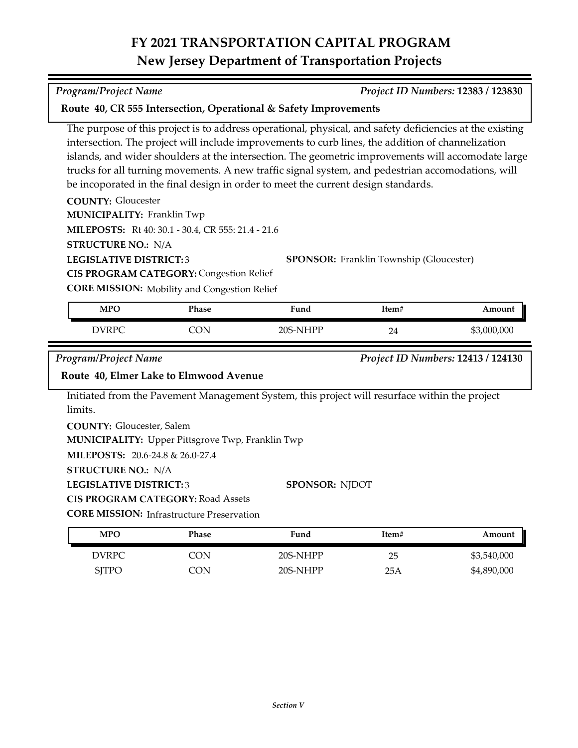# **FY 2021 TRANSPORTATION CAPITAL PROGRAM New Jersey Department of Transportation Projects**

#### *Program/Project Name Project ID Numbers:* **12383 / 123830**

### **Route 40, CR 555 Intersection, Operational & Safety Improvements**

The purpose of this project is to address operational, physical, and safety deficiencies at the existing intersection. The project will include improvements to curb lines, the addition of channelization islands, and wider shoulders at the intersection. The geometric improvements will accomodate large trucks for all turning movements. A new traffic signal system, and pedestrian accomodations, will be incoporated in the final design in order to meet the current design standards.

**COUNTY:** Gloucester **LEGISLATIVE DISTRICT:** 3 **MILEPOSTS:** Rt 40: 30.1 - 30.4, CR 555: 21.4 - 21.6 **STRUCTURE NO.:** N/A **MUNICIPALITY: Franklin Twp CIS PROGRAM CATEGORY:** Congestion Relief

**SPONSOR:** Franklin Township (Gloucester)

**CORE MISSION:** Mobility and Congestion Relief

| <b>MPO</b> | Phase | Fund     | Item# | Amount      |
|------------|-------|----------|-------|-------------|
| DVRPC      | ON    | 20S-NHPP | 24    | \$3,000,000 |

*Program/Project Name Project ID Numbers:* **12413 / 124130**

## **Route 40, Elmer Lake to Elmwood Avenue**

Initiated from the Pavement Management System, this project will resurface within the project limits.

**COUNTY:** Gloucester, Salem **MUNICIPALITY:** Upper Pittsgrove Twp, Franklin Twp

**MILEPOSTS:** 20.6-24.8 & 26.0-27.4

**STRUCTURE NO.:** N/A

**LEGISLATIVE DISTRICT:** 3

**CIS PROGRAM CATEGORY:** Road Assets

**CORE MISSION: Infrastructure Preservation** 

| <b>MPO</b>   | Phase | Fund     | Item# | Amount      |
|--------------|-------|----------|-------|-------------|
| DVRPC        | CON   | 20S-NHPP | 25    | \$3,540,000 |
| <b>SITPO</b> | CON.  | 20S-NHPP | 25A   | \$4,890,000 |

**SPONSOR:** NJDOT